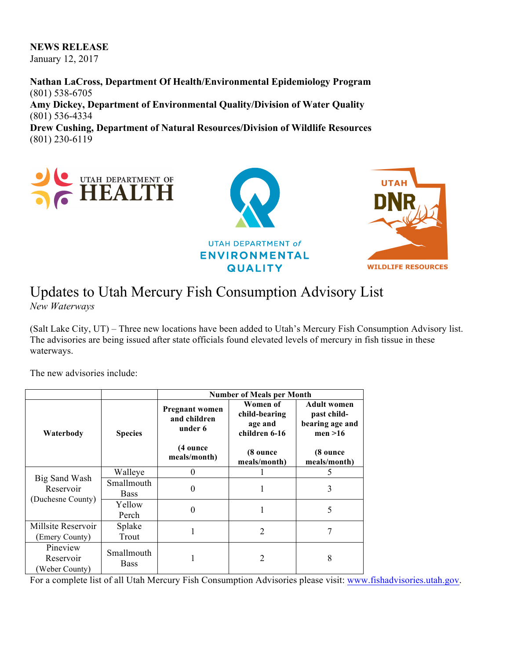## **NEWS RELEASE**

January 12, 2017

**Nathan LaCross, Department Of Health/Environmental Epidemiology Program** (801) 538-6705 **Amy Dickey, Department of Environmental Quality/Division of Water Quality** (801) 536-4334 **Drew Cushing, Department of Natural Resources/Division of Wildlife Resources**

(801) 230-6119



## Updates to Utah Mercury Fish Consumption Advisory List

*New Waterways*

(Salt Lake City, UT) – Three new locations have been added to Utah's Mercury Fish Consumption Advisory list. The advisories are being issued after state officials found elevated levels of mercury in fish tissue in these waterways.

The new advisories include:

|                                                 |                           | <b>Number of Meals per Month</b>                 |                                                       |                                                                  |
|-------------------------------------------------|---------------------------|--------------------------------------------------|-------------------------------------------------------|------------------------------------------------------------------|
| Waterbody                                       | <b>Species</b>            | <b>Pregnant women</b><br>and children<br>under 6 | Women of<br>child-bearing<br>age and<br>children 6-16 | <b>Adult women</b><br>past child-<br>bearing age and<br>men > 16 |
|                                                 |                           | (4 ounce<br>meals/month)                         | (8 ounce<br>meals/month)                              | (8 ounce<br>meals/month)                                         |
| Big Sand Wash<br>Reservoir<br>(Duchesne County) | Walleye                   |                                                  |                                                       | 5                                                                |
|                                                 | Smallmouth<br><b>Bass</b> | $\theta$                                         |                                                       | 3                                                                |
|                                                 | Yellow<br>Perch           | $\theta$                                         |                                                       | 5                                                                |
| Millsite Reservoir<br>(Emery County)            | Splake<br>Trout           |                                                  | 2                                                     |                                                                  |
| Pineview<br>Reservoir<br>Weber County)          | Smallmouth<br><b>Bass</b> |                                                  | 2                                                     | 8                                                                |

For a complete list of all Utah Mercury Fish Consumption Advisories please visit: www.fishadvisories.utah.gov.